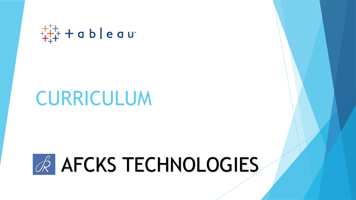

## CURRICULUM

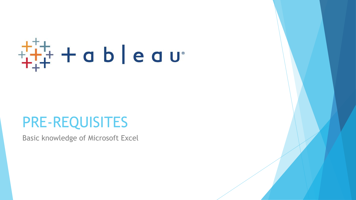# $\frac{1}{1} + \frac{1}{1} + \frac{1}{1} + \frac{1}{1} + \frac{1}{1} + \frac{1}{1} + \frac{1}{1} + \frac{1}{1} + \frac{1}{1} + \frac{1}{1} + \frac{1}{1} + \frac{1}{1} + \frac{1}{1} + \frac{1}{1} + \frac{1}{1} + \frac{1}{1} + \frac{1}{1} + \frac{1}{1} + \frac{1}{1} + \frac{1}{1} + \frac{1}{1} + \frac{1}{1} + \frac{1}{1} + \frac{1}{1} + \frac{1}{1} + \frac{1}{1} + \frac{1}{1} + \frac{1$

## PRE-REQUISITES

Basic knowledge of Microsoft Excel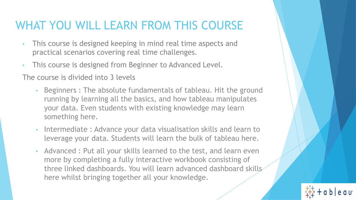### WHAT YOU WILL LEARN FROM THIS COURSE

- This course is designed keeping in mind real time aspects and practical scenarios covering real time challenges.
- This course is designed from Beginner to Advanced Level.

The course is divided into 3 levels

- Beginners : The absolute fundamentals of tableau. Hit the ground running by learning all the basics, and how tableau manipulates your data. Even students with existing knowledge may learn something here.
- Intermediate : Advance your data visualisation skills and learn to leverage your data. Students will learn the bulk of tableau here.
- Advanced : Put all your skills learned to the test, and learn even more by completing a fully interactive workbook consisting of three linked dashboards. You will learn advanced dashboard skills here whilst bringing together all your knowledge.

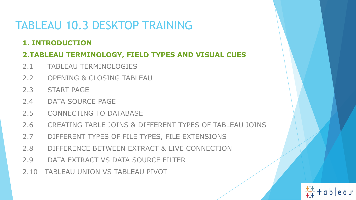## TABLEAU 10.3 DESKTOP TRAINING

#### **1. INTRODUCTION**

#### **2.TABLEAU TERMINOLOGY, FIELD TYPES AND VISUAL CUES**

- 2.1 TABLEAU TERMINOLOGIES
- 2.2 OPENING & CLOSING TABLEAU
- 2.3 START PAGE
- 2.4 DATA SOURCE PAGE
- 2.5 CONNECTING TO DATABASE
- 2.6 CREATING TABLE JOINS & DIFFERENT TYPES OF TABLEAU JOINS
- 2.7 DIFFERENT TYPES OF FILE TYPES, FILE EXTENSIONS
- 2.8 DIFFERENCE BETWEEN EXTRACT & LIVE CONNECTION
- 2.9 DATA EXTRACT VS DATA SOURCE FILTER

2.10 TABLEAU UNION VS TABLEAU PIVOT

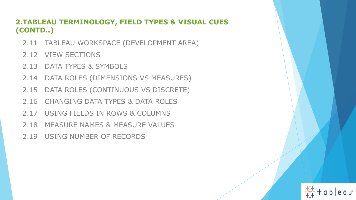#### **2.TABLEAU TERMINOLOGY, FIELD TYPES & VISUAL CUES (CONTD..)**

- 2.11 TABLEAU WORKSPACE (DEVELOPMENT AREA)
- 2.12 VIEW SECTIONS
- 2.13 DATA TYPES & SYMBOLS
- 2.14 DATA ROLES (DIMENSIONS VS MEASURES)
- 2.15 DATA ROLES (CONTINUOUS VS DISCRETE)
- 2.16 CHANGING DATA TYPES & DATA ROLES
- 2.17 USING FIELDS IN ROWS & COLUMNS
- 2.18 MEASURE NAMES & MEASURE VALUES
- 2.19 USING NUMBER OF RECORDS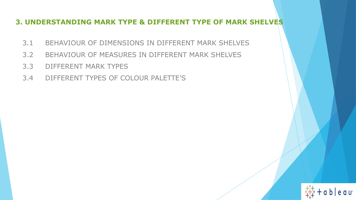#### **3. UNDERSTANDING MARK TYPE & DIFFERENT TYPE OF MARK SHELVES**

- 3.1 BEHAVIOUR OF DIMENSIONS IN DIFFERENT MARK SHELVES
- 3.2 BEHAVIOUR OF MEASURES IN DIFFERENT MARK SHELVES
- 3.3 DIFFERENT MARK TYPES
- 3.4 DIFFERENT TYPES OF COLOUR PALETTE'S

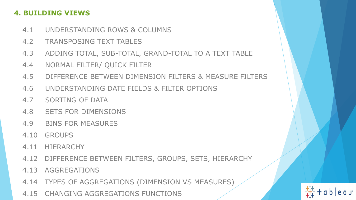#### **4. BUILDING VIEWS**

- 4.1 UNDERSTANDING ROWS & COLUMNS
- 4.2 TRANSPOSING TEXT TABLES
- 4.3 ADDING TOTAL, SUB-TOTAL, GRAND-TOTAL TO A TEXT TABLE
- 4.4 NORMAL FILTER/ QUICK FILTER
- 4.5 DIFFERENCE BETWEEN DIMENSION FILTERS & MEASURE FILTERS
- 4.6 UNDERSTANDING DATE FIELDS & FILTER OPTIONS
- 4.7 SORTING OF DATA
- 4.8 SETS FOR DIMENSIONS
- 4.9 BINS FOR MEASURES
- 4.10 GROUPS
- 4.11 HIERARCHY
- 4.12 DIFFERENCE BETWEEN FILTERS, GROUPS, SETS, HIERARCHY
- 4.13 AGGREGATIONS
- 4.14 TYPES OF AGGREGATIONS (DIMENSION VS MEASURES)
- 4.15 CHANGING AGGREGATIONS FUNCTIONS

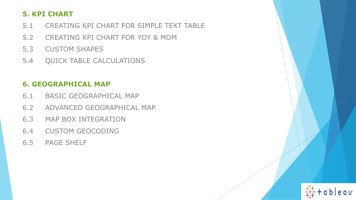#### **5. KPI CHART**

5.1 CREATING KPI CHART FOR SIMPLE TEXT TABLE

eau

- 5.2 CREATING KPI CHART FOR YOY & MOM
- 5.3 CUSTOM SHAPES
- 5.4 QUICK TABLE CALCULATIONS

#### **6. GEOGRAPHICAL MAP**

- 6.1 BASIC GEOGRAPHICAL MAP
- 6.2 ADVANCED GEOGRAPHICAL MAP
- 6.3 MAP BOX INTEGRATION
- 6.4 CUSTOM GEOCODING
- 6.5 PAGE SHELF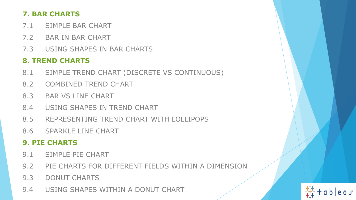#### **7. BAR CHARTS**

- 7.1 SIMPLE BAR CHART
- 7.2 BAR IN BAR CHART
- 7.3 USING SHAPES IN BAR CHARTS

#### **8. TREND CHARTS**

- 8.1 SIMPLE TREND CHART (DISCRETE VS CONTINUOUS)
- 8.2 COMBINED TREND CHART
- 8.3 BAR VS LINE CHART
- 8.4 USING SHAPES IN TREND CHART
- 8.5 REPRESENTING TREND CHART WITH LOLLIPOPS
- 8.6 SPARKLE LINE CHART

#### **9. PIE CHARTS**

- 9.1 SIMPLE PIE CHART
- 9.2 PIE CHARTS FOR DIFFERENT FIELDS WITHIN A DIMENSION
- 9.3 DONUT CHARTS
- 9.4 USING SHAPES WITHIN A DONUT CHART

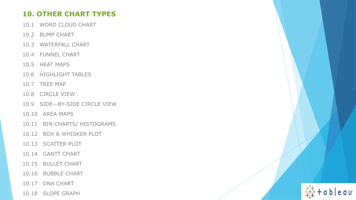#### **10. OTHER CHART TYPES**

- 10.1 WORD CLOUD CHART
- 10.2 BUMP CHART
- 10.3 WATERFALL CHART
- 10.4 FUNNEL CHART
- 10.5 HEAT MAPS
- 10.6 HIGHLIGHT TABLES
- 10.7 TREE MAP
- 10.8 CIRCLE VIEW
- 10.9 SIDE—BY-SIDE CIRCLE VIEW
- 10.10 AREA MAPS
- 10.11 BIN CHARTS/ HISTOGRAMS
- 10.12 BOX & WHISKER PLOT
- 10.13 SCATTER PLOT
- 10.14 GANTT CHART
- 10.15 BULLET CHART
- 10.16 BUBBLE CHART
- 10.17 DNA CHART
- 10.18 SLOPE GRAPH

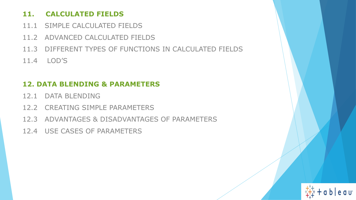#### **11. CALCULATED FIELDS**

- 11.1 SIMPLE CALCULATED FIELDS
- 11.2 ADVANCED CALCULATED FIELDS
- 11.3 DIFFERENT TYPES OF FUNCTIONS IN CALCULATED FIELDS
- 11.4 LOD'S

#### **12. DATA BLENDING & PARAMETERS**

- 12.1 DATA BLENDING
- 12.2 CREATING SIMPLE PARAMETERS
- 12.3 ADVANTAGES & DISADVANTAGES OF PARAMETERS
- 12.4 USE CASES OF PARAMETERS